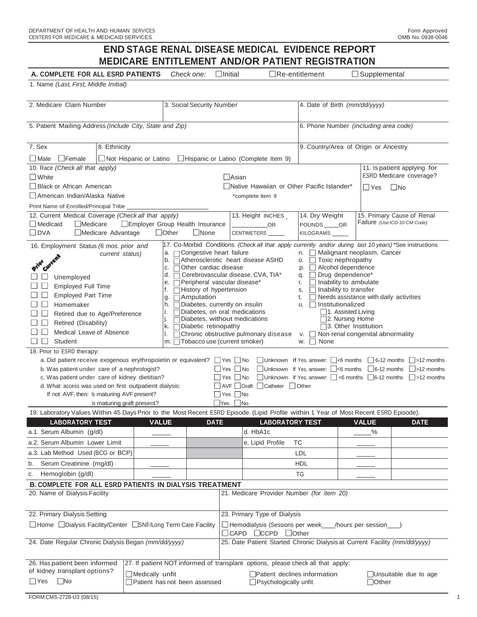# **END STAGE RENAL DISEASE MEDICAL EVIDENCE REPORT**

| <b>MEDICARE ENTITLEMENT AND/OR PATIENT REGISTRATION</b>                                                                                                                                                                                                                                                                                                                                                                                                                                                                                        |                               |                                                           |  |                                                                                                                                                |                                            |                                                                                                                                                                                                                                                                                                                                                                     |                                             |                                                                                                                                                                                                                                                                                                                                                                                                                                                                                                                                                                              |                              |                             |  |                                                        |
|------------------------------------------------------------------------------------------------------------------------------------------------------------------------------------------------------------------------------------------------------------------------------------------------------------------------------------------------------------------------------------------------------------------------------------------------------------------------------------------------------------------------------------------------|-------------------------------|-----------------------------------------------------------|--|------------------------------------------------------------------------------------------------------------------------------------------------|--------------------------------------------|---------------------------------------------------------------------------------------------------------------------------------------------------------------------------------------------------------------------------------------------------------------------------------------------------------------------------------------------------------------------|---------------------------------------------|------------------------------------------------------------------------------------------------------------------------------------------------------------------------------------------------------------------------------------------------------------------------------------------------------------------------------------------------------------------------------------------------------------------------------------------------------------------------------------------------------------------------------------------------------------------------------|------------------------------|-----------------------------|--|--------------------------------------------------------|
| A. COMPLETE FOR ALL ESRD PATIENTS                                                                                                                                                                                                                                                                                                                                                                                                                                                                                                              |                               |                                                           |  | Check one:                                                                                                                                     | $\Box$ Initial                             | $\Box$ Re-entitlement                                                                                                                                                                                                                                                                                                                                               |                                             |                                                                                                                                                                                                                                                                                                                                                                                                                                                                                                                                                                              |                              | $\Box$ Supplemental         |  |                                                        |
| 1. Name (Last, First, Middle Initial)                                                                                                                                                                                                                                                                                                                                                                                                                                                                                                          |                               |                                                           |  |                                                                                                                                                |                                            |                                                                                                                                                                                                                                                                                                                                                                     |                                             |                                                                                                                                                                                                                                                                                                                                                                                                                                                                                                                                                                              |                              |                             |  |                                                        |
| 3. Social Security Number<br>2. Medicare Claim Number                                                                                                                                                                                                                                                                                                                                                                                                                                                                                          |                               |                                                           |  |                                                                                                                                                | 4. Date of Birth (mm/dd/yyyy)              |                                                                                                                                                                                                                                                                                                                                                                     |                                             |                                                                                                                                                                                                                                                                                                                                                                                                                                                                                                                                                                              |                              |                             |  |                                                        |
| 5. Patient Mailing Address (Include City, State and Zip)                                                                                                                                                                                                                                                                                                                                                                                                                                                                                       |                               |                                                           |  |                                                                                                                                                |                                            |                                                                                                                                                                                                                                                                                                                                                                     | 6. Phone Number (including area code)       |                                                                                                                                                                                                                                                                                                                                                                                                                                                                                                                                                                              |                              |                             |  |                                                        |
| 7. Sex                                                                                                                                                                                                                                                                                                                                                                                                                                                                                                                                         | 8. Ethnicity                  |                                                           |  |                                                                                                                                                |                                            |                                                                                                                                                                                                                                                                                                                                                                     |                                             | 9. Country/Area of Origin or Ancestry                                                                                                                                                                                                                                                                                                                                                                                                                                                                                                                                        |                              |                             |  |                                                        |
| $\Box$ Male<br>$\Box$ Female                                                                                                                                                                                                                                                                                                                                                                                                                                                                                                                   | $\Box$ Not Hispanic or Latino |                                                           |  |                                                                                                                                                |                                            | $\Box$ Hispanic or Latino (Complete Item 9)                                                                                                                                                                                                                                                                                                                         |                                             |                                                                                                                                                                                                                                                                                                                                                                                                                                                                                                                                                                              |                              |                             |  |                                                        |
| 10. Race (Check all that apply)<br>$\Box$ White                                                                                                                                                                                                                                                                                                                                                                                                                                                                                                |                               |                                                           |  |                                                                                                                                                |                                            | $\Box$ Asian                                                                                                                                                                                                                                                                                                                                                        |                                             |                                                                                                                                                                                                                                                                                                                                                                                                                                                                                                                                                                              |                              |                             |  | 11. Is patient applying for<br>ESRD Medicare coverage? |
| Black or African American                                                                                                                                                                                                                                                                                                                                                                                                                                                                                                                      |                               |                                                           |  |                                                                                                                                                | Native Hawaiian or Other Pacific Islander* |                                                                                                                                                                                                                                                                                                                                                                     |                                             |                                                                                                                                                                                                                                                                                                                                                                                                                                                                                                                                                                              |                              | No<br>  IYes                |  |                                                        |
| American Indian/Alaska Native                                                                                                                                                                                                                                                                                                                                                                                                                                                                                                                  |                               |                                                           |  |                                                                                                                                                |                                            | *complete Item 9                                                                                                                                                                                                                                                                                                                                                    |                                             |                                                                                                                                                                                                                                                                                                                                                                                                                                                                                                                                                                              |                              |                             |  |                                                        |
| Print Name of Enrolled/Principal Tribe                                                                                                                                                                                                                                                                                                                                                                                                                                                                                                         |                               |                                                           |  |                                                                                                                                                |                                            |                                                                                                                                                                                                                                                                                                                                                                     |                                             |                                                                                                                                                                                                                                                                                                                                                                                                                                                                                                                                                                              |                              |                             |  |                                                        |
| 12. Current Medical Coverage (Check all that apply)                                                                                                                                                                                                                                                                                                                                                                                                                                                                                            |                               |                                                           |  |                                                                                                                                                |                                            | 13. Height INCHES                                                                                                                                                                                                                                                                                                                                                   |                                             | 14. Dry Weight                                                                                                                                                                                                                                                                                                                                                                                                                                                                                                                                                               |                              | 15. Primary Cause of Renal  |  |                                                        |
| $\Box$ Medicare<br>Employer Group Health Insurance<br>  Medicaid<br>$\Box$ DVA<br>$\Box$ Other<br>Medicare Advantage<br>$\Box$ None                                                                                                                                                                                                                                                                                                                                                                                                            |                               |                                                           |  | _OR<br><b>CENTIMETERS</b>                                                                                                                      |                                            | POUNDS _____ OR<br>KILOGRAMS                                                                                                                                                                                                                                                                                                                                        |                                             |                                                                                                                                                                                                                                                                                                                                                                                                                                                                                                                                                                              | Failure (Use ICD-10-CM Code) |                             |  |                                                        |
| Prilot Curry<br>$\Box$<br>Unemployed<br><b>Employed Full Time</b><br><b>Employed Part Time</b><br>Homemaker<br>Retired due to Age/Preference<br>Retired (Disability)<br>Medical Leave of Absence<br>Г<br>Student<br>18. Prior to ESRD therapy:<br>a. Did patient receive exogenous erythropoietin or equivalent? $\Box$ Yes $\Box$ No<br>b. Was patient under care of a nephrologist?<br>c. Was patient under care of kidney dietitian?<br>d. What access was used on first outpatient dialysis:<br>If not AVF, then: Is maturing AVF present? |                               | b.<br>C.<br>d.<br>е.<br>f.<br>g.<br>h.<br>li.<br>k.<br>I. |  | $\Box$ Other cardiac disease<br>□ Peripheral vascular disease*<br>□History of hypertension<br>$\Box$ Amputation<br>$\Box$ Diabetic retinopathy |                                            | Atherosclerotic heart disease ASHD<br>□ Cerebrovascular disease, CVA, TIA*<br>$\Box$ Diabetes, currently on insulin<br>$\Box$ Diabetes, on oral medications<br>□Diabetes, without medications<br>□ Chronic obstructive pulmonary disease<br>m. □ Tobacco use (current smoker)<br>$\Box$ Yes $\Box$ No<br>  Yes   No<br>■ AVF Graft Catheter<br>$\Box$ Yes $\Box$ No | r.<br>S.<br>t.<br>u.<br>V.<br>$\vert$ Other | o. $\Box$ Toxic nephropathy<br>$p. \Box$ Alcohol dependence<br>q. Drug dependence*<br>$\Box$ Inability to ambulate<br>$\Box$ Inability to transfer<br>$\Box$ Needs assistance with daily activities<br>$\Box$ Institutionalized<br>$\Box$ 1. Assisted Living<br>□2. Nursing Home<br>$\Box$ Non-renal congenital abnormality<br>None<br>$W.$ $\parallel$<br>□ Unknown If Yes, answer: 26 months 26-12 months 2>12 months<br>$\Box$ Unknown If Yes, answer: $\Box$ <6 months $\Box$ 6-12 months $\Box$ >12 months<br>Unknown If Yes, answer: <6 months 6-12 months >>12 months |                              | $\Box$ 3. Other Institution |  |                                                        |
|                                                                                                                                                                                                                                                                                                                                                                                                                                                                                                                                                | Is maturing graft present?    |                                                           |  |                                                                                                                                                |                                            | $\Box$ Yes $\Box$ No                                                                                                                                                                                                                                                                                                                                                |                                             |                                                                                                                                                                                                                                                                                                                                                                                                                                                                                                                                                                              |                              |                             |  |                                                        |
| 19. Laboratory Values Within 45 Days Prior to the Most Recent ESRD Episode. (Lipid Profile within 1 Year of Most Recent ESRD Episode).                                                                                                                                                                                                                                                                                                                                                                                                         |                               |                                                           |  |                                                                                                                                                |                                            |                                                                                                                                                                                                                                                                                                                                                                     |                                             |                                                                                                                                                                                                                                                                                                                                                                                                                                                                                                                                                                              |                              |                             |  |                                                        |
| <b>LABORATORY TEST</b>                                                                                                                                                                                                                                                                                                                                                                                                                                                                                                                         |                               | <b>VALUE</b>                                              |  | <b>DATE</b>                                                                                                                                    |                                            | <b>LABORATORY TEST</b><br>d. HbA1c                                                                                                                                                                                                                                                                                                                                  |                                             |                                                                                                                                                                                                                                                                                                                                                                                                                                                                                                                                                                              |                              | <b>VALUE</b>                |  | <b>DATE</b>                                            |
| a.1. Serum Albumin (g/dl)<br>a.2. Serum Albumin Lower Limit                                                                                                                                                                                                                                                                                                                                                                                                                                                                                    |                               |                                                           |  |                                                                                                                                                |                                            |                                                                                                                                                                                                                                                                                                                                                                     | <b>TC</b>                                   |                                                                                                                                                                                                                                                                                                                                                                                                                                                                                                                                                                              |                              | $\%$                        |  |                                                        |
| a.3. Lab Method Used (BCG or BCP)                                                                                                                                                                                                                                                                                                                                                                                                                                                                                                              |                               |                                                           |  |                                                                                                                                                |                                            | e. Lipid Profile                                                                                                                                                                                                                                                                                                                                                    |                                             |                                                                                                                                                                                                                                                                                                                                                                                                                                                                                                                                                                              |                              |                             |  |                                                        |
|                                                                                                                                                                                                                                                                                                                                                                                                                                                                                                                                                |                               |                                                           |  |                                                                                                                                                |                                            |                                                                                                                                                                                                                                                                                                                                                                     | LDL                                         |                                                                                                                                                                                                                                                                                                                                                                                                                                                                                                                                                                              |                              |                             |  |                                                        |
| Serum Creatinine (mg/dl)<br>b.                                                                                                                                                                                                                                                                                                                                                                                                                                                                                                                 |                               |                                                           |  |                                                                                                                                                |                                            |                                                                                                                                                                                                                                                                                                                                                                     | HDL                                         |                                                                                                                                                                                                                                                                                                                                                                                                                                                                                                                                                                              |                              |                             |  |                                                        |
| c. Hemoglobin (g/dl)                                                                                                                                                                                                                                                                                                                                                                                                                                                                                                                           |                               |                                                           |  |                                                                                                                                                |                                            |                                                                                                                                                                                                                                                                                                                                                                     | TG                                          |                                                                                                                                                                                                                                                                                                                                                                                                                                                                                                                                                                              |                              |                             |  |                                                        |
| B. COMPLETE FOR ALL ESRD PATIENTS IN DIALYSIS TREATMENT                                                                                                                                                                                                                                                                                                                                                                                                                                                                                        |                               |                                                           |  |                                                                                                                                                |                                            |                                                                                                                                                                                                                                                                                                                                                                     |                                             |                                                                                                                                                                                                                                                                                                                                                                                                                                                                                                                                                                              |                              |                             |  |                                                        |
| 20. Name of Dialysis Facility                                                                                                                                                                                                                                                                                                                                                                                                                                                                                                                  |                               |                                                           |  |                                                                                                                                                |                                            | 21. Medicare Provider Number (for item 20)                                                                                                                                                                                                                                                                                                                          |                                             |                                                                                                                                                                                                                                                                                                                                                                                                                                                                                                                                                                              |                              |                             |  |                                                        |
| 22. Primary Dialysis Setting                                                                                                                                                                                                                                                                                                                                                                                                                                                                                                                   |                               |                                                           |  |                                                                                                                                                |                                            | 23. Primary Type of Dialysis                                                                                                                                                                                                                                                                                                                                        |                                             |                                                                                                                                                                                                                                                                                                                                                                                                                                                                                                                                                                              |                              |                             |  |                                                        |
| □ Home □ Dialysis Facility/Center □ SNF/Long Term Care Facility                                                                                                                                                                                                                                                                                                                                                                                                                                                                                |                               |                                                           |  | □ Hemodialysis (Sessions per week ___ /hours per session ___ )<br>$\Box$ CCPD $\Box$ Other<br>$\sqcup$ CAPD                                    |                                            |                                                                                                                                                                                                                                                                                                                                                                     |                                             |                                                                                                                                                                                                                                                                                                                                                                                                                                                                                                                                                                              |                              |                             |  |                                                        |
| 24. Date Regular Chronic Dialysis Began (mm/dd/yyyy)                                                                                                                                                                                                                                                                                                                                                                                                                                                                                           |                               |                                                           |  | 25. Date Patient Started Chronic Dialysis at Current Facility (mm/dd/yyyy)                                                                     |                                            |                                                                                                                                                                                                                                                                                                                                                                     |                                             |                                                                                                                                                                                                                                                                                                                                                                                                                                                                                                                                                                              |                              |                             |  |                                                        |
| 26. Has patient been informed 27. If patient NOT informed of transplant options, please check all that apply:                                                                                                                                                                                                                                                                                                                                                                                                                                  |                               |                                                           |  |                                                                                                                                                |                                            |                                                                                                                                                                                                                                                                                                                                                                     |                                             |                                                                                                                                                                                                                                                                                                                                                                                                                                                                                                                                                                              |                              |                             |  |                                                        |

of kidney transplant options?

 $\Box$  Yes  $\Box$  No

| $\Box$ Medically unfit        | $\Box$ Patient declines information | □ Unsuitable due to age |
|-------------------------------|-------------------------------------|-------------------------|
| Patient has not been assessed | $\Box$ Psychologically unfit        | Other                   |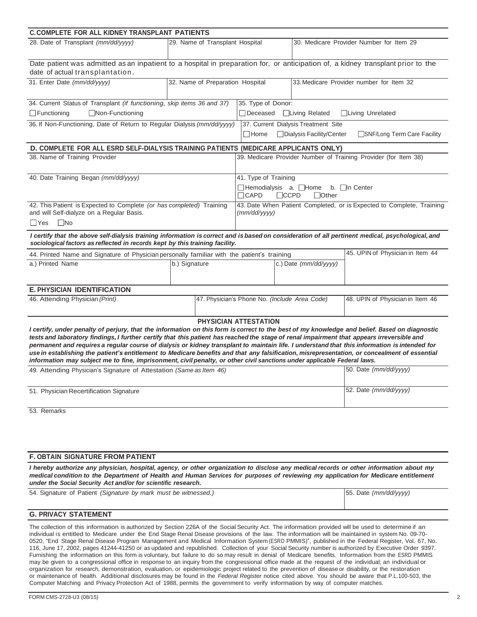| <b>C. COMPLETE FOR ALL KIDNEY TRANSPLANT PATIENTS</b>                                                                                                                                                                                                                                                                                                                                                                                                                                                                                                                                                                                                                                                                                                                                             |                                  |                                                                                                               |                                               |                                          |  |  |
|---------------------------------------------------------------------------------------------------------------------------------------------------------------------------------------------------------------------------------------------------------------------------------------------------------------------------------------------------------------------------------------------------------------------------------------------------------------------------------------------------------------------------------------------------------------------------------------------------------------------------------------------------------------------------------------------------------------------------------------------------------------------------------------------------|----------------------------------|---------------------------------------------------------------------------------------------------------------|-----------------------------------------------|------------------------------------------|--|--|
| 28. Date of Transplant (mm/dd/yyyy)                                                                                                                                                                                                                                                                                                                                                                                                                                                                                                                                                                                                                                                                                                                                                               | 29. Name of Transplant Hospital  |                                                                                                               |                                               | 30. Medicare Provider Number for Item 29 |  |  |
| Date patient was admitted as an inpatient to a hospital in preparation for, or anticipation of, a kidney transplant prior to the<br>date of actual transplantation.                                                                                                                                                                                                                                                                                                                                                                                                                                                                                                                                                                                                                               |                                  |                                                                                                               |                                               |                                          |  |  |
| 31. Enter Date (mm/dd/yyyy)                                                                                                                                                                                                                                                                                                                                                                                                                                                                                                                                                                                                                                                                                                                                                                       | 32. Name of Preparation Hospital |                                                                                                               | 33. Medicare Provider number for Item 32      |                                          |  |  |
| 34. Current Status of Transplant (if functioning, skip items 36 and 37)                                                                                                                                                                                                                                                                                                                                                                                                                                                                                                                                                                                                                                                                                                                           |                                  | 35. Type of Donor:                                                                                            |                                               |                                          |  |  |
| $\Box$ Functioning<br>□Non-Functioning                                                                                                                                                                                                                                                                                                                                                                                                                                                                                                                                                                                                                                                                                                                                                            |                                  | Deceased<br>□Living Related<br>□Living Unrelated                                                              |                                               |                                          |  |  |
| 36. If Non-Functioning, Date of Return to Regular Dialysis (mm/dd/yyyy)                                                                                                                                                                                                                                                                                                                                                                                                                                                                                                                                                                                                                                                                                                                           |                                  | 37. Current Dialysis Treatment Site<br>$\Box$ Home<br>Dialysis Facility/Center<br>SNF/Long Term Care Facility |                                               |                                          |  |  |
| D. COMPLETE FOR ALL ESRD SELF-DIALYSIS TRAINING PATIENTS (MEDICARE APPLICANTS ONLY)                                                                                                                                                                                                                                                                                                                                                                                                                                                                                                                                                                                                                                                                                                               |                                  |                                                                                                               |                                               |                                          |  |  |
| 38. Name of Training Provider                                                                                                                                                                                                                                                                                                                                                                                                                                                                                                                                                                                                                                                                                                                                                                     |                                  | 39. Medicare Provider Number of Training Provider (for Item 38)                                               |                                               |                                          |  |  |
| 40. Date Training Began (mm/dd/yyyy)                                                                                                                                                                                                                                                                                                                                                                                                                                                                                                                                                                                                                                                                                                                                                              |                                  | 41. Type of Training                                                                                          |                                               |                                          |  |  |
|                                                                                                                                                                                                                                                                                                                                                                                                                                                                                                                                                                                                                                                                                                                                                                                                   |                                  | Hemodialysis a. Home<br>b. In Center<br>$\Box$ CAPD<br>$\sqcap$ CCPD<br>$\Box$ Other                          |                                               |                                          |  |  |
| 42. This Patient is Expected to Complete (or has completed) Training<br>and will Self-dialyze on a Regular Basis.                                                                                                                                                                                                                                                                                                                                                                                                                                                                                                                                                                                                                                                                                 |                                  | 43. Date When Patient Completed, or is Expected to Complete, Training<br>(mm/dd/yyyy)                         |                                               |                                          |  |  |
| $\n  No\n$<br>  Yes                                                                                                                                                                                                                                                                                                                                                                                                                                                                                                                                                                                                                                                                                                                                                                               |                                  |                                                                                                               |                                               |                                          |  |  |
| I certify that the above self-dialysis training information is correct and is based on consideration of all pertinent medical, psychological, and<br>sociological factors as reflected in records kept by this training facility.                                                                                                                                                                                                                                                                                                                                                                                                                                                                                                                                                                 |                                  |                                                                                                               |                                               |                                          |  |  |
| 44. Printed Name and Signature of Physician personally familiar with the patient's training                                                                                                                                                                                                                                                                                                                                                                                                                                                                                                                                                                                                                                                                                                       |                                  |                                                                                                               |                                               | 45. UPIN of Physician in Item 44         |  |  |
| a.) Printed Name                                                                                                                                                                                                                                                                                                                                                                                                                                                                                                                                                                                                                                                                                                                                                                                  |                                  | c.) Date (mm/dd/vvvv)                                                                                         |                                               |                                          |  |  |
| <b>E. PHYSICIAN IDENTIFICATION</b>                                                                                                                                                                                                                                                                                                                                                                                                                                                                                                                                                                                                                                                                                                                                                                |                                  |                                                                                                               |                                               |                                          |  |  |
| 46. Attending Physician (Print)                                                                                                                                                                                                                                                                                                                                                                                                                                                                                                                                                                                                                                                                                                                                                                   |                                  |                                                                                                               | 47. Physician's Phone No. (Include Area Code) | 48. UPIN of Physician in Item 46         |  |  |
| I certify, under penalty of perjury, that the information on this form is correct to the best of my knowledge and belief. Based on diagnostic<br>tests and laboratory findings, I further certify that this patient has reached the stage of renal impairment that appears irreversible and<br>permanent and requires a regular course of dialysis or kidney transplant to maintain life. I understand that this information is intended for<br>use in establishing the patient's entitlement to Medicare benefits and that any falsification, misrepresentation, or concealment of essential<br>information may subject me to fine, imprisonment, civil penalty, or other civil sanctions under applicable Federal laws.<br>49. Attending Physician's Signature of Attestation (Same as Item 46) |                                  | PHYSICIAN ATTESTATION                                                                                         |                                               | 50. Date (mm/dd/yyyy)                    |  |  |
| 51. Physician Recertification Signature                                                                                                                                                                                                                                                                                                                                                                                                                                                                                                                                                                                                                                                                                                                                                           | 52. Date (mm/dd/yyyy)            |                                                                                                               |                                               |                                          |  |  |
| 53. Remarks                                                                                                                                                                                                                                                                                                                                                                                                                                                                                                                                                                                                                                                                                                                                                                                       |                                  |                                                                                                               |                                               |                                          |  |  |

### **F. OBTAIN SIGNATURE FROM PATIENT**

I hereby authorize any physician, hospital, agency, or other organization to disclose any medical records or other information about my medical condition to the Department of Health and Human Services for purposes of reviewing my application for Medicare entitlement *under the Social Security Act and/or for scientific research.*

| 54. Signature of Patient (Signature by mark must be witnessed.) | $ 55.$ Date (mm/dd/yyyy) |
|-----------------------------------------------------------------|--------------------------|
|                                                                 |                          |

## **G. PRIVACY STATEMENT**

The collection of this information is authorized by Section 226A of the Social Security Act. The information provided will be used to determine if an individual is entitled to Medicare under the End Stage Renal Disease provisions of the law. The information will be maintained in system No. 09-70- 0520, "End Stage Renal Disease Program Management and Medical Information System (ESRD PMMIS)", published in the Federal Register, Vol. 67, No. 116, June 17, 2002, pages 41244-41250 or as updated and republished. Collection of your Social Security number is authorized by Executive Order 9397. Furnishing the information on this form is voluntary, but failure to do so may result in denial of Medicare benefits. Information from the ESRD PMMIS may be given to a congressional office in response to an inquiry from the congressional office made at the request of the individual; an individual or organization for research, demonstration, evaluation, or epidemiologic project related to the prevention of disease or disability, or the restoration or maintenance of health. Additional disclosures may be found in the *Federal Register* notice cited above. You should be aware that P.L.100-503, the Computer Matching and Privacy Protection Act of 1988, permits the government to verify information by way of computer matches.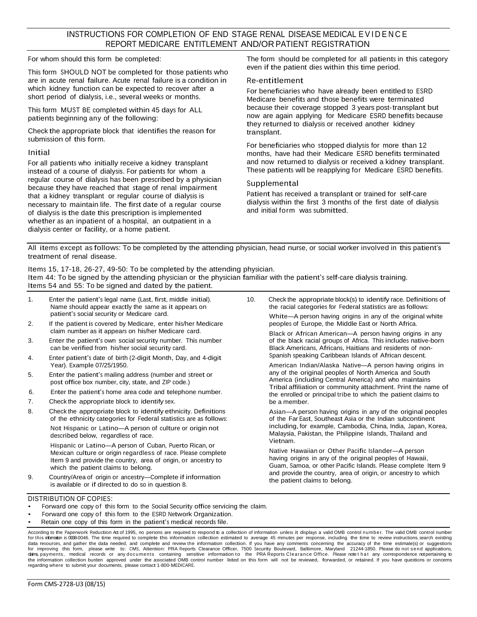## INSTRUCTIONS FOR COMPLETION OF END STAGE RENAL DISEASE MEDICAL E V I D E N C E REPORT MEDICARE ENTITLEMENT AND/OR PATIENT REGISTRATION

For whom should this form be completed:

This form SHOULD NOT be completed for those patients who are in acute renal failure. Acute renal failure is a condition in which kidney function can be expected to recover after a short period of dialysis, i.e., several weeks or months.

This form MUST BE completed within 45 days for ALL patients beginning any of the following:

Check the appropriate block that identifies the reason for submission of this form.

#### Initial

For all patients who initially receive a kidney transplant instead of a course of dialysis. For patients for whom a regular course of dialysis has been prescribed by a physician because they have reached that stage of renal impairment that a kidney transplant or regular course of dialysis is necessary to maintain life. The first date of a regular course of dialysis is the date this prescription is implemented whether as an inpatient of a hospital, an outpatient in a dialysis center or facility, or a home patient.

The form should be completed for all patients in this category even if the patient dies within this time period.

#### Re-entitlement

For beneficiaries who have already been entitled to ESRD Medicare benefits and those benefits were terminated because their coverage stopped 3 years post-transplant but now are again applying for Medicare ESRD benefits because they returned to dialysis or received another kidney transplant.

For beneficiaries who stopped dialysis for more than 12 months, have had their Medicare ESRD benefits terminated and now returned to dialysis or received a kidney transplant. These patients will be reapplying for Medicare ESRD benefits.

#### Supplemental

Patient has received a transplant or trained for self-care dialysis within the first 3 months of the first date of dialysis and initial form was submitted.

All items except as follows: To be completed by the attending physician, head nurse, or social worker involved in this patient's treatment of renal disease.

Items 15, 17-18, 26-27, 49-50: To be completed by the attending physician. Item 44: To be signed by the attending physician or the physician familiar with the patient'<sup>s</sup> self-care dialysis training. Items 54 and 55: To be signed and dated by the patient.

- 1. Enter the patient'<sup>s</sup> legal name (Last, first, middle initial). Name should appear exactly the same as it appears on patient'<sup>s</sup> social security or Medicare card.
- 2. If the patient is covered by Medicare, enter his/her Medicare claim number as it appears on his/her Medicare card.
- 3. Enter the patient'<sup>s</sup> own social security number. This number can be verified from his/her social security card.
- 4. Enter patient'<sup>s</sup> date of birth (2-digit Month, Day, and 4-digit Year). Example 07/25/1950.
- 5. Enter the patient'<sup>s</sup> mailing address (number and street or post office box number, city, state, and ZIP code.)
- 6. Enter the patient'<sup>s</sup> home area code and telephone number.
- 7. Check the appropriate block to identify sex.
- 8. Check the appropriate block to identify ethnicity. Definitions of the ethnicity categories for Federal statistics are as follows: Not Hispanic or Latino—A person of culture or origin not

described below, regardless of race.

Hispanic or Latino—A person of Cuban, Puerto Rican, or Mexican culture or origin regardless of race. Please complete Item 9 and provide the country, area of origin, or ancestry to which the patient claims to belong.

9. Country/Area of origin or ancestry—Complete if information is available or if directed to do so in question 8.

10. Check the appropriate block(s) to identify race. Definitions of the racial categories for Federal statistics are as follows: White—A person having origins in any of the original white peoples of Europe, the Middle East or North Africa.

> Black or African American—A person having origins in any of the black racial groups of Africa. This includes native-born Black Americans, Africans, Haitians and residents of non-Spanish speaking Caribbean Islands of African descent.

American Indian/Alaska Native—A person having origins in any of the original peoples of North America and South America (including Central America) and who maintains Tribal affiliation or community attachment. Print the name of the enrolled or principal tribe to which the patient claims to be a member.

Asian—A person having origins in any of the original peoples of the Far East, Southeast Asia or the Indian subcontinent including, for example, Cambodia, China, India, Japan, Korea, Malaysia, Pakistan, the Philippine Islands, Thailand and Vietnam.

Native Hawaiian or Other Pacific Islander—A person having origins in any of the original peoples of Hawaii, Guam, Samoa, or other Pacific Islands. Please complete Item 9 and provide the country, area of origin, or ancestry to which the patient claims to belong.

#### DISTRIBUTION OF COPIES:

- Forward one copy of this form to the Social Security office servicing the claim.
- Forward one copy of this form to the ESRD Network Organization.
- Retain one copy of this form in the patient's medical records file.

According to the Paperwork Reduction Ad of 1995, no persons are required to respond to a collection of information unless it displays a valid OMB control number. The valid OMB control number for this information is 0938-0046. The time required to complete this information collection estimated to average 45 minutes per response, including the time to review instructions, search existing data resources, and gather the data needed, and complete and review the information collection. If you have any comments concerning the accuracy of the time estimate(s) or suggestions<br>for improving this form, please write dams payments, medical records or anydocuments containing sensitive informationto the PRA ReportsClearanceOffice. Please notethat any correspondence notpertaining to<br>the information collection burden approved under the ass regarding where to submit your documents, please contact 1-800-MEDICARE.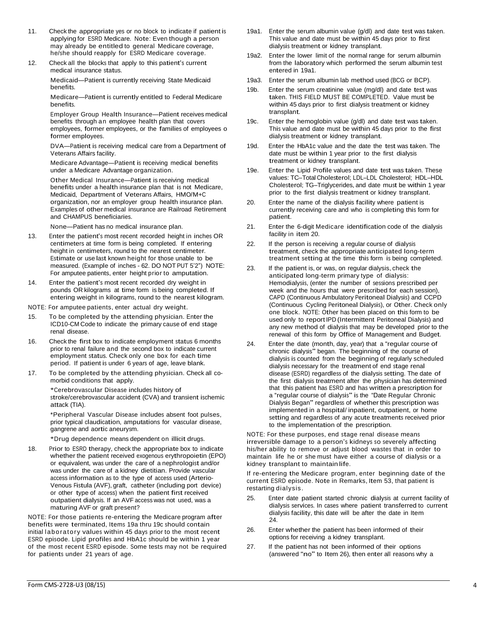- 11. Check the appropriate yes or no block to indicate if patient is applying for ESRD Medicare. Note: Even though a person may already be entitled to general Medicare coverage, he/she should reapply for ESRD Medicare coverage.
- 12. Check all the blocks that apply to this patient'<sup>s</sup> current medical insurance status.

Medicaid—Patient is currently receiving State Medicaid benefits.

Medicare—Patient is currently entitled to Federal Medicare benefits.

Employer Group Health Insurance—Patient receives medical benefits through an employee health plan that covers employees, former employees, or the families of employees o former employees.

DVA—Patient is receiving medical care from a Department of Veterans Affairs facility.

Medicare Advantage—Patient is receiving medical benefits under a Medicare Advantage organization.

Other Medical Insurance—Patient is receiving medical benefits under a health insurance plan that is not Medicare, Medicaid, Department of Veterans Affairs, HMO/M+C organization, nor an employer group health insurance plan. Examples of other medical insurance are Railroad Retirement and CHAMPUS beneficiaries.

None—Patient has no medical insurance plan.

- 13. Enter the patient'<sup>s</sup> most recent recorded height in inches OR centimeters at time form is being completed. If entering height in centimeters, round to the nearest centimeter. Estimate or use last known height for those unable to be measured. (Example of inches - 62. DO NOT PUT 5'2") NOTE: For amputee patients, enter height prior to amputation.
- 14. Enter the patient'<sup>s</sup> most recent recorded dry weight in pounds OR kilograms at time form is being completed. If entering weight in kilograms, round to the nearest kilogram.
- NOTE: For amputee patients, enter actual dry weight.
- 15. To be completed by the attending physician. Enter the ICD10-CM Code to indicate the primary cause of end stage renal disease.
- 16. Check the first box to indicate employment status 6 months prior to renal failure and the second box to indicate current employment status. Check only one box for each time period. If patient is under 6 years of age, leave blank.
- 17. To be completed by the attending physician. Check all comorbid conditions that apply.

\*Cerebrovascular Disease includes history of stroke/cerebrovascular accident (CVA) and transient ischemic attack (TIA).

\*Peripheral Vascular Disease includes absent foot pulses, prior typical claudication, amputations for vascular disease, gangrene and aortic aneurysm.

\*Drug dependence means dependent on illicit drugs.

18. Prior to ESRD therapy, check the appropriate box to indicate whether the patient received exogenous erythropoietin (EPO) or equivalent, was under the care of a nephrologist and/or was under the care of a kidney dietitian. Provide vascular access information as to the type of access used (Arterio-Venous Fistula (AVF), graft, catheter (including port device) or other type of access) when the patient first received outpatient dialysis. If an AVF access was not used, was a maturing AVF or graft present?

NOTE: For those patients re-entering the Medicare program after benefits were terminated, Items 19a thru 19c should contain initial laboratory values within 45 days prior to the most recent ESRD episode. Lipid profiles and HbA1c should be within 1 year of the most recent ESRD episode. Some tests may not be required for patients under 21 years of age.

- 19a1. Enter the serum albumin value (g/dl) and date test was taken. This value and date must be within 45 days prior to first dialysis treatment or kidney transplant.
- 19a2. Enter the lower limit of the normal range for serum albumin from the laboratory which performed the serum albumin test entered in 19a1.
- 19a3. Enter the serum albumin lab method used (BCG or BCP).
- 19b. Enter the serum creatinine value (mg/dl) and date test was taken. THIS FIELD MUST BE COMPLETED. Value must be within 45 days prior to first dialysis treatment or kidney transplant.
- 19c. Enter the hemoglobin value (g/dl) and date test was taken. This value and date must be within 45 days prior to the first dialysis treatment or kidney transplant.
- 19d. Enter the HbA1c value and the date the test was taken. The date must be within 1 year prior to the first dialysis treatment or kidney transplant.
- 19e. Enter the Lipid Profile values and date test was taken. These values: TC–Total Cholesterol; LDL–LDL Cholesterol; HDL–HDL Cholesterol; TG–Triglycerides, and date must be within 1 year prior to the first dialysis treatment or kidney transplant.
- 20. Enter the name of the dialysis facility where patient is currently receiving care and who is completing this form for patient.
- 21. Enter the 6-digit Medicare identification code of the dialysis facility in item 20.
- 22. If the person is receiving a regular course of dialysis treatment, check the appropriate anticipated long-term treatment setting at the time this form is being completed.
- 23. If the patient is, or was, on regular dialysis, check the anticipated long-term primary type of dialysis: Hemodialysis, (enter the number of sessions prescribed per week and the hours that were prescribed for each session), CAPD (Continuous Ambulatory Peritoneal Dialysis) and CCPD (Continuous Cycling Peritoneal Dialysis), or Other. Check only one block. NOTE: Other has been placed on this form to be used only to report IPD (Intermittent Peritoneal Dialysis) and any new method of dialysis that may be developed prior to the renewal of this form by Office of Management and Budget.
- 24. Enter the date (month, day, year) that a "regular course of chronic dialysis" began. The beginning of the course of dialysis is counted from the beginning of regularly scheduled dialysis necessary for the treatment of end stage renal disease (ESRD) regardless of the dialysis setting. The date of the first dialysis treatment after the physician has determined that this patient has ESRD and has written a prescription for <sup>a</sup>"regular course of dialysis"is the "Date Regular Chronic Dialysis Began" regardless of whether this prescription was implemented in a hospital/ inpatient, outpatient, or home setting and regardless of any acute treatments received prior to the implementation of the prescription.

NOTE: For these purposes, end stage renal disease means irreversible damage to a person'<sup>s</sup> kidneys so severely affecting his/her ability to remove or adjust blood wastes that in order to maintain life he or she must have either a course of dialysis or a kidney transplant to maintain life.

If re-entering the Medicare program, enter beginning date of the current ESRD episode. Note in Remarks, Item 53, that patient is restarting dialysis.

- 25. Enter date patient started chronic dialysis at current facility of dialysis services. In cases where patient transferred to current dialysis facility, this date will be after the date in Item 24.
- 26. Enter whether the patient has been informed of their options for receiving a kidney transplant.
- 27. If the patient has not been informed of their options (answered "no" to Item 26), then enter all reasons why <sup>a</sup>